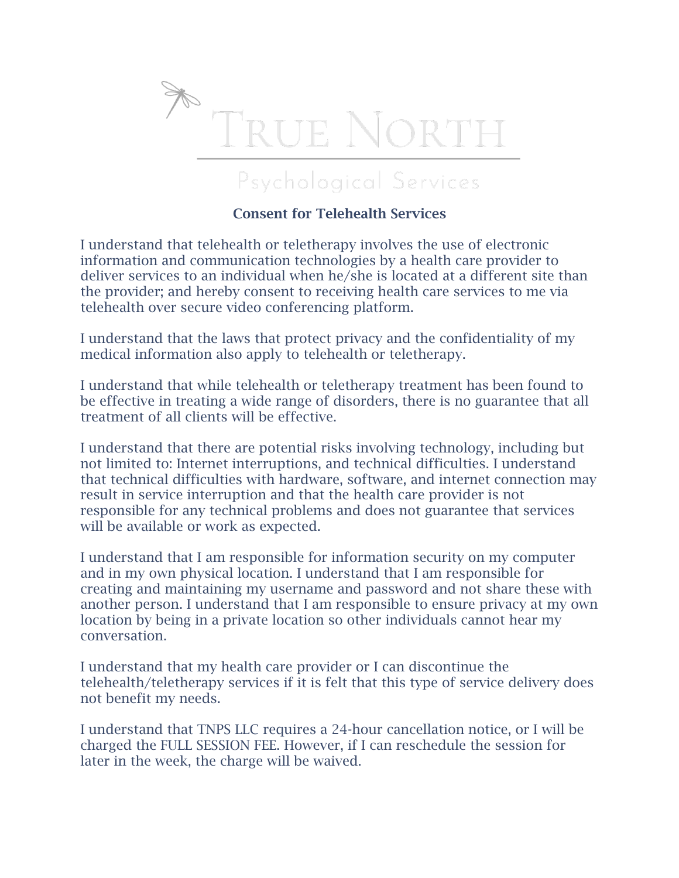

## Psychological Services

## Consent for Telehealth Services

I understand that telehealth or teletherapy involves the use of electronic information and communication technologies by a health care provider to deliver services to an individual when he/she is located at a different site than the provider; and hereby consent to receiving health care services to me via telehealth over secure video conferencing platform.

I understand that the laws that protect privacy and the confidentiality of my medical information also apply to telehealth or teletherapy.

I understand that while telehealth or teletherapy treatment has been found to be effective in treating a wide range of disorders, there is no guarantee that all treatment of all clients will be effective.

I understand that there are potential risks involving technology, including but not limited to: Internet interruptions, and technical difficulties. I understand that technical difficulties with hardware, software, and internet connection may result in service interruption and that the health care provider is not responsible for any technical problems and does not guarantee that services will be available or work as expected.

I understand that I am responsible for information security on my computer and in my own physical location. I understand that I am responsible for creating and maintaining my username and password and not share these with another person. I understand that I am responsible to ensure privacy at my own location by being in a private location so other individuals cannot hear my conversation.

I understand that my health care provider or I can discontinue the telehealth/teletherapy services if it is felt that this type of service delivery does not benefit my needs.

I understand that TNPS LLC requires a 24-hour cancellation notice, or I will be charged the FULL SESSION FEE. However, if I can reschedule the session for later in the week, the charge will be waived.